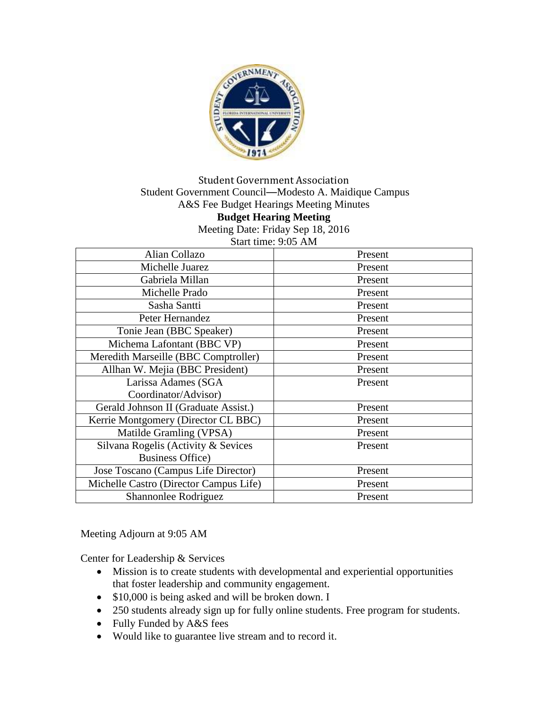

### Student Government Association Student Government Council—Modesto A. Maidique Campus A&S Fee Budget Hearings Meeting Minutes **Budget Hearing Meeting** Meeting Date: Friday Sep 18, 2016 Start time: 9:05 AM

Alian Collazo Resent Michelle Juarez Present Gabriela Millan Present Michelle Prado Present Sasha Santti Present Peter Hernandez and Present Tonie Jean (BBC Speaker) Present Michema Lafontant (BBC VP) Present Meredith Marseille (BBC Comptroller) Present Allhan W. Mejia (BBC President) Present Larissa Adames (SGA Coordinator/Advisor) Present Gerald Johnson II (Graduate Assist.) Present Kerrie Montgomery (Director CL BBC) Present Matilde Gramling (VPSA) Present Silvana Rogelis (Activity & Sevices Business Office) Present Jose Toscano (Campus Life Director) Present Michelle Castro (Director Campus Life) Present Shannonlee Rodriguez and Present

Meeting Adjourn at 9:05 AM

Center for Leadership & Services

- Mission is to create students with developmental and experiential opportunities that foster leadership and community engagement.
- \$10,000 is being asked and will be broken down. I
- 250 students already sign up for fully online students. Free program for students.
- Fully Funded by A&S fees
- Would like to guarantee live stream and to record it.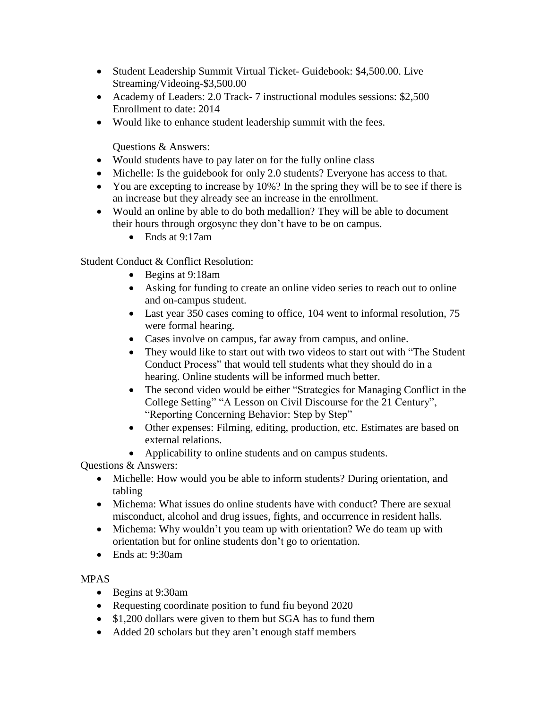- Student Leadership Summit Virtual Ticket- Guidebook: \$4,500.00. Live Streaming/Videoing-\$3,500.00
- Academy of Leaders: 2.0 Track- 7 instructional modules sessions: \$2,500 Enrollment to date: 2014
- Would like to enhance student leadership summit with the fees.

- Would students have to pay later on for the fully online class
- Michelle: Is the guidebook for only 2.0 students? Everyone has access to that.
- You are excepting to increase by 10%? In the spring they will be to see if there is an increase but they already see an increase in the enrollment.
- Would an online by able to do both medallion? They will be able to document their hours through orgosync they don't have to be on campus.
	- Ends at 9:17am

Student Conduct & Conflict Resolution:

- Begins at 9:18am
- Asking for funding to create an online video series to reach out to online and on-campus student.
- Last year 350 cases coming to office, 104 went to informal resolution, 75 were formal hearing.
- Cases involve on campus, far away from campus, and online.
- They would like to start out with two videos to start out with "The Student" Conduct Process" that would tell students what they should do in a hearing. Online students will be informed much better.
- The second video would be either "Strategies for Managing Conflict in the College Setting" "A Lesson on Civil Discourse for the 21 Century", "Reporting Concerning Behavior: Step by Step"
- Other expenses: Filming, editing, production, etc. Estimates are based on external relations.
- Applicability to online students and on campus students.

Questions & Answers:

- Michelle: How would you be able to inform students? During orientation, and tabling
- Michema: What issues do online students have with conduct? There are sexual misconduct, alcohol and drug issues, fights, and occurrence in resident halls.
- Michema: Why wouldn't you team up with orientation? We do team up with orientation but for online students don't go to orientation.
- Ends at: 9:30am

# MPAS

- Begins at 9:30am
- Requesting coordinate position to fund fiu beyond 2020
- \$1,200 dollars were given to them but SGA has to fund them
- Added 20 scholars but they aren't enough staff members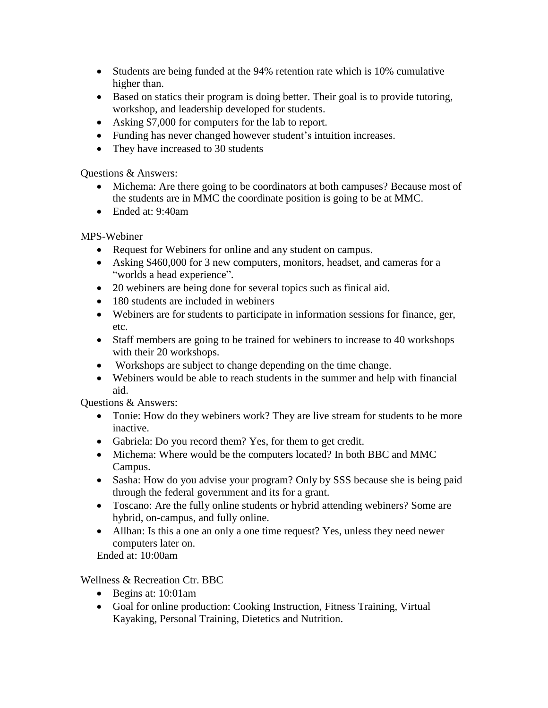- Students are being funded at the 94% retention rate which is 10% cumulative higher than.
- Based on statics their program is doing better. Their goal is to provide tutoring, workshop, and leadership developed for students.
- Asking \$7,000 for computers for the lab to report.
- Funding has never changed however student's intuition increases.
- They have increased to 30 students

- Michema: Are there going to be coordinators at both campuses? Because most of the students are in MMC the coordinate position is going to be at MMC.
- Ended at: 9:40am

MPS-Webiner

- Request for Webiners for online and any student on campus.
- Asking \$460,000 for 3 new computers, monitors, headset, and cameras for a "worlds a head experience".
- 20 webiners are being done for several topics such as finical aid.
- 180 students are included in webiners
- Webiners are for students to participate in information sessions for finance, ger, etc.
- Staff members are going to be trained for webiners to increase to 40 workshops with their 20 workshops.
- Workshops are subject to change depending on the time change.
- Webiners would be able to reach students in the summer and help with financial aid.

Questions & Answers:

- Tonie: How do they webiners work? They are live stream for students to be more inactive.
- Gabriela: Do you record them? Yes, for them to get credit.
- Michema: Where would be the computers located? In both BBC and MMC Campus.
- Sasha: How do you advise your program? Only by SSS because she is being paid through the federal government and its for a grant.
- Toscano: Are the fully online students or hybrid attending webiners? Some are hybrid, on-campus, and fully online.
- Allhan: Is this a one an only a one time request? Yes, unless they need newer computers later on.

Ended at: 10:00am

Wellness & Recreation Ctr. BBC

- Begins at: 10:01am
- Goal for online production: Cooking Instruction, Fitness Training, Virtual Kayaking, Personal Training, Dietetics and Nutrition.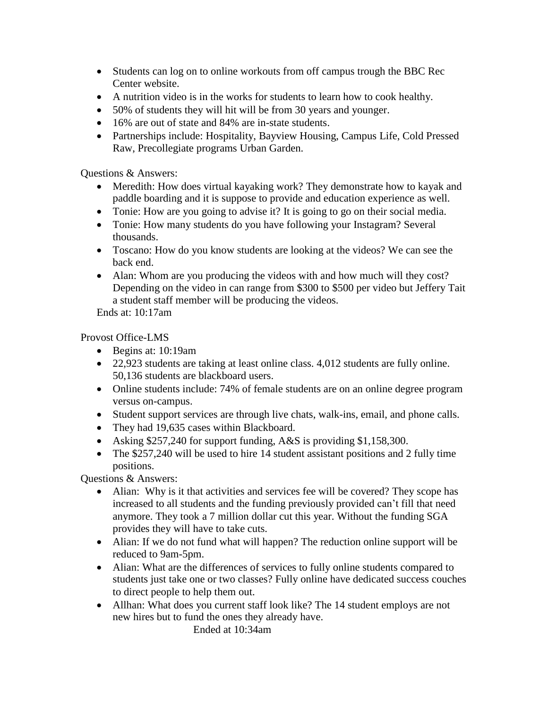- Students can log on to online workouts from off campus trough the BBC Rec Center website.
- A nutrition video is in the works for students to learn how to cook healthy.
- 50% of students they will hit will be from 30 years and younger.
- 16% are out of state and 84% are in-state students.
- Partnerships include: Hospitality, Bayview Housing, Campus Life, Cold Pressed Raw, Precollegiate programs Urban Garden.

- Meredith: How does virtual kayaking work? They demonstrate how to kayak and paddle boarding and it is suppose to provide and education experience as well.
- Tonie: How are you going to advise it? It is going to go on their social media.
- Tonie: How many students do you have following your Instagram? Several thousands.
- Toscano: How do you know students are looking at the videos? We can see the back end.
- Alan: Whom are you producing the videos with and how much will they cost? Depending on the video in can range from \$300 to \$500 per video but Jeffery Tait a student staff member will be producing the videos.

Ends at: 10:17am

Provost Office-LMS

- Begins at: 10:19am
- 22,923 students are taking at least online class. 4,012 students are fully online. 50,136 students are blackboard users.
- Online students include: 74% of female students are on an online degree program versus on-campus.
- Student support services are through live chats, walk-ins, email, and phone calls.
- They had 19,635 cases within Blackboard.
- Asking \$257,240 for support funding, A&S is providing \$1,158,300.
- The \$257,240 will be used to hire 14 student assistant positions and 2 fully time positions.

Questions & Answers:

- Alian: Why is it that activities and services fee will be covered? They scope has increased to all students and the funding previously provided can't fill that need anymore. They took a 7 million dollar cut this year. Without the funding SGA provides they will have to take cuts.
- Alian: If we do not fund what will happen? The reduction online support will be reduced to 9am-5pm.
- Alian: What are the differences of services to fully online students compared to students just take one or two classes? Fully online have dedicated success couches to direct people to help them out.
- Allhan: What does you current staff look like? The 14 student employs are not new hires but to fund the ones they already have. Ended at 10:34am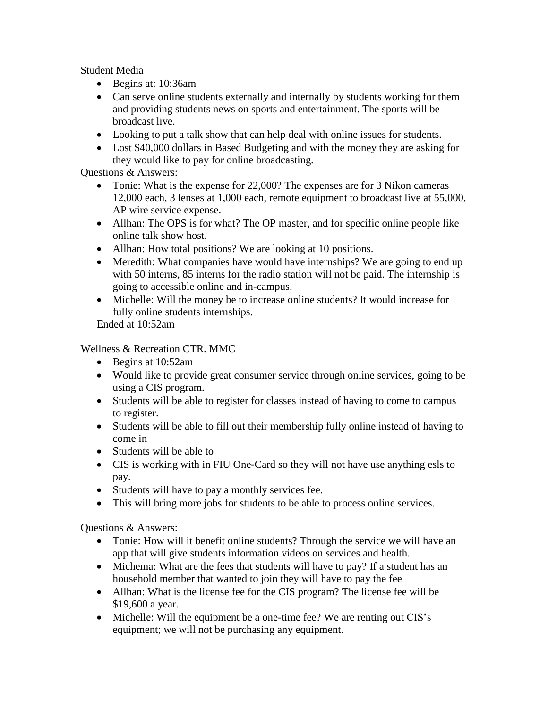Student Media

- Begins at: 10:36am
- Can serve online students externally and internally by students working for them and providing students news on sports and entertainment. The sports will be broadcast live.
- Looking to put a talk show that can help deal with online issues for students.
- Lost \$40,000 dollars in Based Budgeting and with the money they are asking for they would like to pay for online broadcasting.

Questions & Answers:

- Tonie: What is the expense for 22,000? The expenses are for 3 Nikon cameras 12,000 each, 3 lenses at 1,000 each, remote equipment to broadcast live at 55,000, AP wire service expense.
- Allhan: The OPS is for what? The OP master, and for specific online people like online talk show host.
- Allhan: How total positions? We are looking at 10 positions.
- Meredith: What companies have would have internships? We are going to end up with 50 interns, 85 interns for the radio station will not be paid. The internship is going to accessible online and in-campus.
- Michelle: Will the money be to increase online students? It would increase for fully online students internships.

Ended at 10:52am

Wellness & Recreation CTR. MMC

- Begins at 10:52am
- Would like to provide great consumer service through online services, going to be using a CIS program.
- Students will be able to register for classes instead of having to come to campus to register.
- Students will be able to fill out their membership fully online instead of having to come in
- Students will be able to
- CIS is working with in FIU One-Card so they will not have use anything esls to pay.
- Students will have to pay a monthly services fee.
- This will bring more jobs for students to be able to process online services.

Questions & Answers:

- Tonie: How will it benefit online students? Through the service we will have an app that will give students information videos on services and health.
- Michema: What are the fees that students will have to pay? If a student has an household member that wanted to join they will have to pay the fee
- Allhan: What is the license fee for the CIS program? The license fee will be \$19,600 a year.
- Michelle: Will the equipment be a one-time fee? We are renting out CIS's equipment; we will not be purchasing any equipment.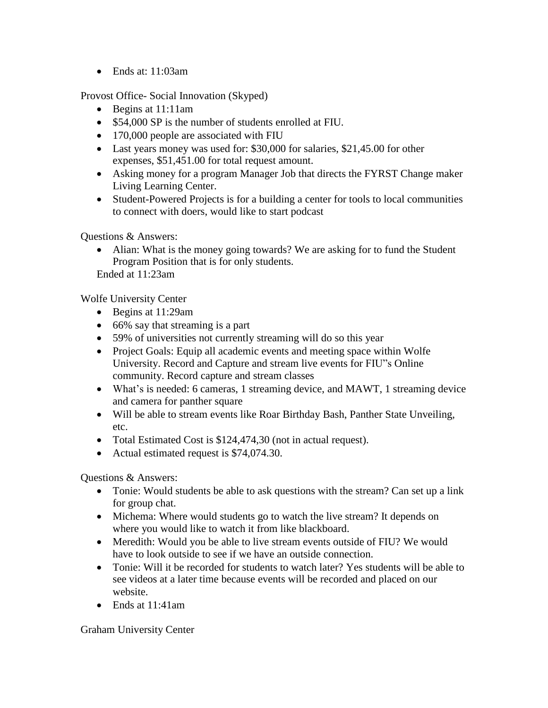• Ends at: 11:03am

Provost Office- Social Innovation (Skyped)

- Begins at 11:11am
- \$54,000 SP is the number of students enrolled at FIU.
- 170,000 people are associated with FIU
- Last years money was used for: \$30,000 for salaries, \$21,45.00 for other expenses, \$51,451.00 for total request amount.
- Asking money for a program Manager Job that directs the FYRST Change maker Living Learning Center.
- Student-Powered Projects is for a building a center for tools to local communities to connect with doers, would like to start podcast

Questions & Answers:

• Alian: What is the money going towards? We are asking for to fund the Student Program Position that is for only students.

Ended at 11:23am

Wolfe University Center

- Begins at 11:29am
- 66% say that streaming is a part
- 59% of universities not currently streaming will do so this year
- Project Goals: Equip all academic events and meeting space within Wolfe University. Record and Capture and stream live events for FIU"s Online community. Record capture and stream classes
- What's is needed: 6 cameras, 1 streaming device, and MAWT, 1 streaming device and camera for panther square
- Will be able to stream events like Roar Birthday Bash, Panther State Unveiling, etc.
- Total Estimated Cost is \$124,474,30 (not in actual request).
- Actual estimated request is \$74,074.30.

Questions & Answers:

- Tonie: Would students be able to ask questions with the stream? Can set up a link for group chat.
- Michema: Where would students go to watch the live stream? It depends on where you would like to watch it from like blackboard.
- Meredith: Would you be able to live stream events outside of FIU? We would have to look outside to see if we have an outside connection.
- Tonie: Will it be recorded for students to watch later? Yes students will be able to see videos at a later time because events will be recorded and placed on our website.
- Ends at 11:41am

Graham University Center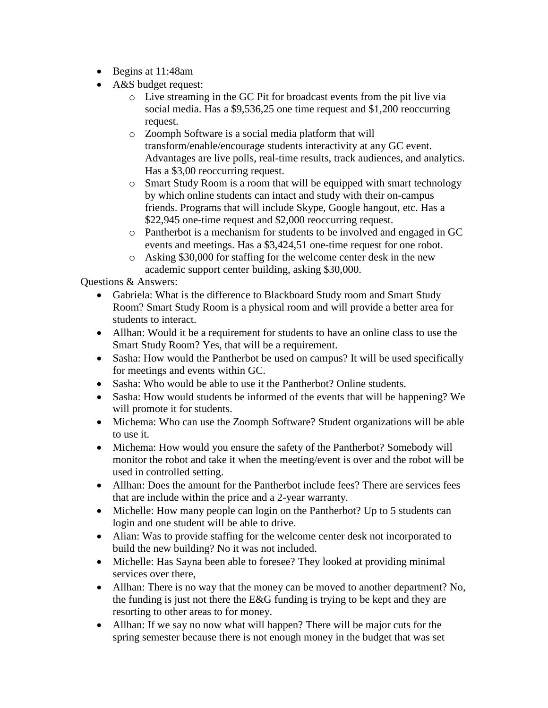- Begins at 11:48am
- A&S budget request:
	- o Live streaming in the GC Pit for broadcast events from the pit live via social media. Has a \$9,536,25 one time request and \$1,200 reoccurring request.
	- o Zoomph Software is a social media platform that will transform/enable/encourage students interactivity at any GC event. Advantages are live polls, real-time results, track audiences, and analytics. Has a \$3,00 reoccurring request.
	- o Smart Study Room is a room that will be equipped with smart technology by which online students can intact and study with their on-campus friends. Programs that will include Skype, Google hangout, etc. Has a \$22,945 one-time request and \$2,000 reoccurring request.
	- o Pantherbot is a mechanism for students to be involved and engaged in GC events and meetings. Has a \$3,424,51 one-time request for one robot.
	- o Asking \$30,000 for staffing for the welcome center desk in the new academic support center building, asking \$30,000.

- Gabriela: What is the difference to Blackboard Study room and Smart Study Room? Smart Study Room is a physical room and will provide a better area for students to interact.
- Allhan: Would it be a requirement for students to have an online class to use the Smart Study Room? Yes, that will be a requirement.
- Sasha: How would the Pantherbot be used on campus? It will be used specifically for meetings and events within GC.
- Sasha: Who would be able to use it the Pantherbot? Online students.
- Sasha: How would students be informed of the events that will be happening? We will promote it for students.
- Michema: Who can use the Zoomph Software? Student organizations will be able to use it.
- Michema: How would you ensure the safety of the Pantherbot? Somebody will monitor the robot and take it when the meeting/event is over and the robot will be used in controlled setting.
- Allhan: Does the amount for the Pantherbot include fees? There are services fees that are include within the price and a 2-year warranty.
- Michelle: How many people can login on the Pantherbot? Up to 5 students can login and one student will be able to drive.
- Alian: Was to provide staffing for the welcome center desk not incorporated to build the new building? No it was not included.
- Michelle: Has Sayna been able to foresee? They looked at providing minimal services over there,
- Allhan: There is no way that the money can be moved to another department? No, the funding is just not there the E&G funding is trying to be kept and they are resorting to other areas to for money.
- Allhan: If we say no now what will happen? There will be major cuts for the spring semester because there is not enough money in the budget that was set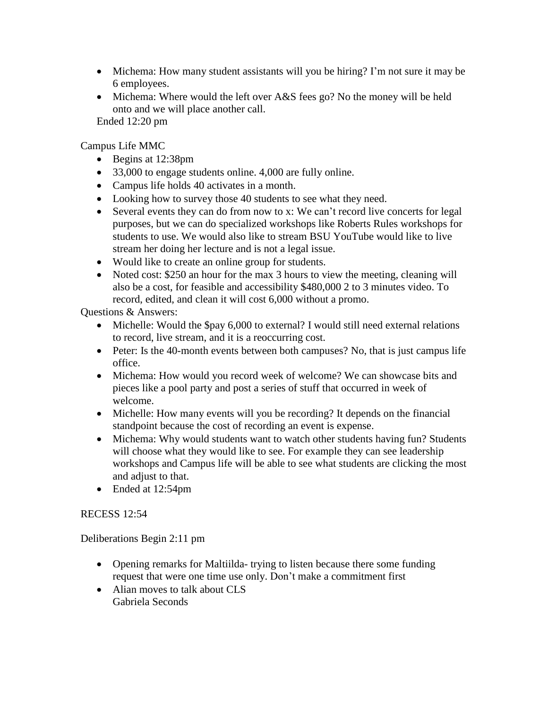- Michema: How many student assistants will you be hiring? I'm not sure it may be 6 employees.
- Michema: Where would the left over A&S fees go? No the money will be held onto and we will place another call. Ended 12:20 pm

Campus Life MMC

- Begins at 12:38pm
- 33,000 to engage students online. 4,000 are fully online.
- Campus life holds 40 activates in a month.
- Looking how to survey those 40 students to see what they need.
- Several events they can do from now to x: We can't record live concerts for legal purposes, but we can do specialized workshops like Roberts Rules workshops for students to use. We would also like to stream BSU YouTube would like to live stream her doing her lecture and is not a legal issue.
- Would like to create an online group for students.
- Noted cost: \$250 an hour for the max 3 hours to view the meeting, cleaning will also be a cost, for feasible and accessibility \$480,000 2 to 3 minutes video. To record, edited, and clean it will cost 6,000 without a promo.

Questions & Answers:

- Michelle: Would the \$pay 6,000 to external? I would still need external relations to record, live stream, and it is a reoccurring cost.
- Peter: Is the 40-month events between both campuses? No, that is just campus life office.
- Michema: How would you record week of welcome? We can showcase bits and pieces like a pool party and post a series of stuff that occurred in week of welcome.
- Michelle: How many events will you be recording? It depends on the financial standpoint because the cost of recording an event is expense.
- Michema: Why would students want to watch other students having fun? Students will choose what they would like to see. For example they can see leadership workshops and Campus life will be able to see what students are clicking the most and adjust to that.
- Ended at 12:54pm

# RECESS 12:54

Deliberations Begin 2:11 pm

- Opening remarks for Maltiilda- trying to listen because there some funding request that were one time use only. Don't make a commitment first
- Alian moves to talk about CLS Gabriela Seconds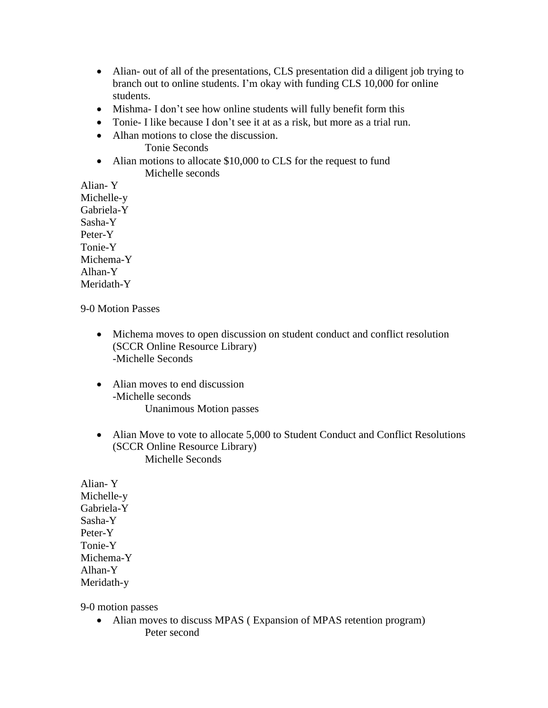- Alian- out of all of the presentations, CLS presentation did a diligent job trying to branch out to online students. I'm okay with funding CLS 10,000 for online students.
- Mishma- I don't see how online students will fully benefit form this
- Tonie- I like because I don't see it at as a risk, but more as a trial run.
- Alhan motions to close the discussion. Tonie Seconds
- Alian motions to allocate \$10,000 to CLS for the request to fund Michelle seconds

Alian- Y Michelle-y Gabriela-Y Sasha-Y Peter-Y Tonie-Y Michema-Y Alhan-Y Meridath-Y

### 9-0 Motion Passes

- Michema moves to open discussion on student conduct and conflict resolution (SCCR Online Resource Library) -Michelle Seconds
- Alian moves to end discussion -Michelle seconds Unanimous Motion passes
- Alian Move to vote to allocate 5,000 to Student Conduct and Conflict Resolutions (SCCR Online Resource Library) Michelle Seconds

Alian- Y Michelle-y Gabriela-Y Sasha-Y Peter-Y Tonie-Y Michema-Y Alhan-Y Meridath-y

9-0 motion passes

• Alian moves to discuss MPAS (Expansion of MPAS retention program) Peter second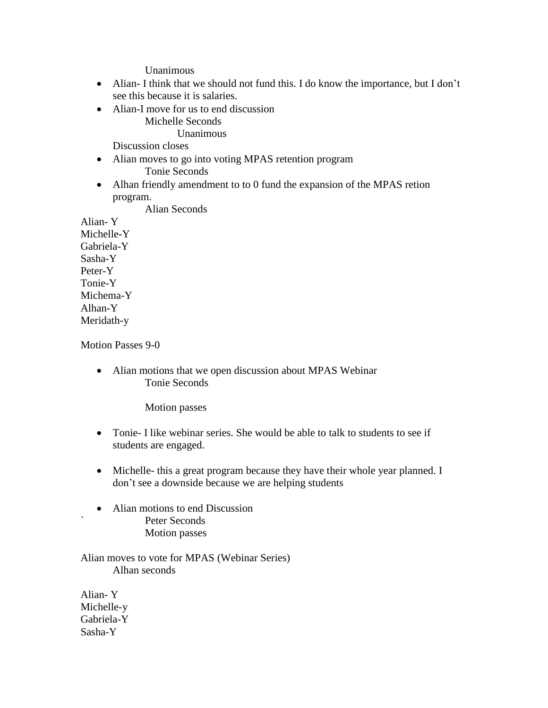Unanimous

- Alian- I think that we should not fund this. I do know the importance, but I don't see this because it is salaries.
- Alian-I move for us to end discussion

Michelle Seconds

Unanimous

Discussion closes

- Alian moves to go into voting MPAS retention program Tonie Seconds
- Alhan friendly amendment to to 0 fund the expansion of the MPAS retion program.

Alian Seconds

Alian- Y Michelle-Y Gabriela-Y Sasha-Y Peter-Y Tonie-Y Michema-Y Alhan-Y Meridath-y

Motion Passes 9-0

• Alian motions that we open discussion about MPAS Webinar Tonie Seconds

Motion passes

- Tonie- I like webinar series. She would be able to talk to students to see if students are engaged.
- Michelle- this a great program because they have their whole year planned. I don't see a downside because we are helping students
- Alian motions to end Discussion Peter Seconds Motion passes

Alian moves to vote for MPAS (Webinar Series) Alhan seconds

Alian- Y Michelle-y Gabriela-Y Sasha-Y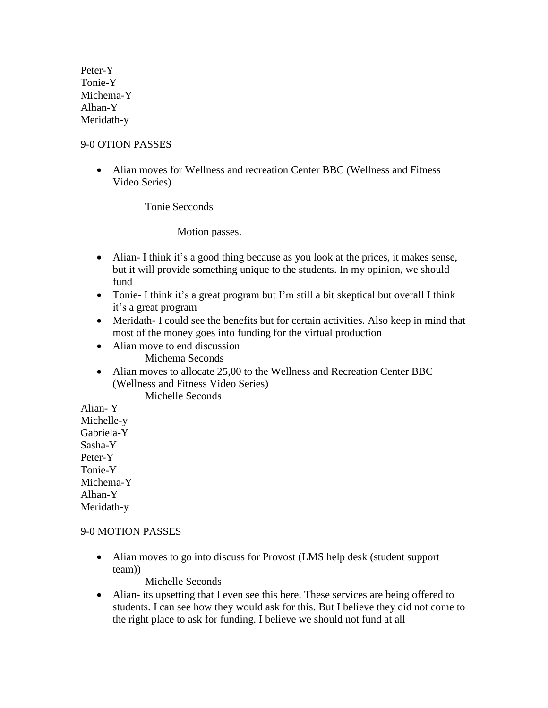Peter-Y Tonie-Y Michema-Y Alhan-Y Meridath-y

### 9-0 OTION PASSES

• Alian moves for Wellness and recreation Center BBC (Wellness and Fitness Video Series)

Tonie Secconds

Motion passes.

- Alian- I think it's a good thing because as you look at the prices, it makes sense, but it will provide something unique to the students. In my opinion, we should fund
- Tonie- I think it's a great program but I'm still a bit skeptical but overall I think it's a great program
- Meridath- I could see the benefits but for certain activities. Also keep in mind that most of the money goes into funding for the virtual production
- Alian move to end discussion Michema Seconds
- Alian moves to allocate 25,00 to the Wellness and Recreation Center BBC (Wellness and Fitness Video Series)

Michelle Seconds

Alian- Y Michelle-y Gabriela-Y Sasha-Y Peter-Y Tonie-Y Michema-Y Alhan-Y Meridath-y

# 9-0 MOTION PASSES

• Alian moves to go into discuss for Provost (LMS help desk (student support team))

Michelle Seconds

• Alian- its upsetting that I even see this here. These services are being offered to students. I can see how they would ask for this. But I believe they did not come to the right place to ask for funding. I believe we should not fund at all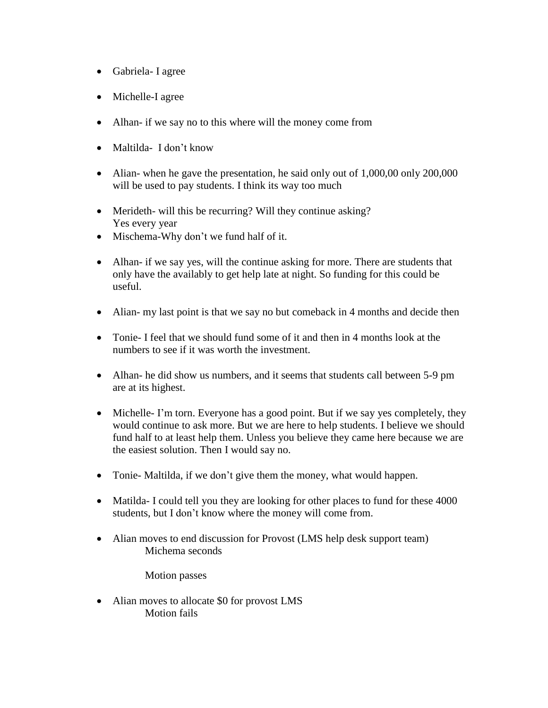- Gabriela- I agree
- Michelle-I agree
- Alhan- if we say no to this where will the money come from
- Maltilda- I don't know
- Alian- when he gave the presentation, he said only out of 1,000,00 only 200,000 will be used to pay students. I think its way too much
- Merideth- will this be recurring? Will they continue asking? Yes every year
- Mischema-Why don't we fund half of it.
- Alhan- if we say yes, will the continue asking for more. There are students that only have the availably to get help late at night. So funding for this could be useful.
- Alian- my last point is that we say no but comeback in 4 months and decide then
- Tonie- I feel that we should fund some of it and then in 4 months look at the numbers to see if it was worth the investment.
- Alhan- he did show us numbers, and it seems that students call between 5-9 pm are at its highest.
- Michelle- I'm torn. Everyone has a good point. But if we say yes completely, they would continue to ask more. But we are here to help students. I believe we should fund half to at least help them. Unless you believe they came here because we are the easiest solution. Then I would say no.
- Tonie- Maltilda, if we don't give them the money, what would happen.
- Matilda- I could tell you they are looking for other places to fund for these 4000 students, but I don't know where the money will come from.
- Alian moves to end discussion for Provost (LMS help desk support team) Michema seconds

Motion passes

• Alian moves to allocate \$0 for provost LMS Motion fails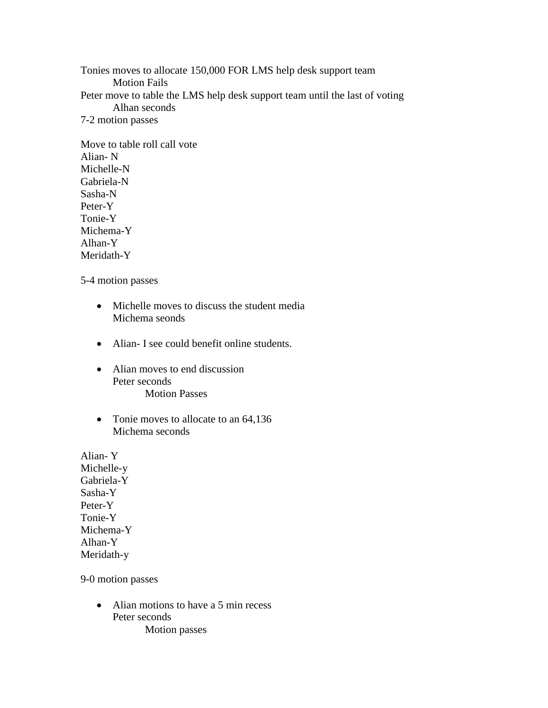Tonies moves to allocate 150,000 FOR LMS help desk support team Motion Fails Peter move to table the LMS help desk support team until the last of voting Alhan seconds 7-2 motion passes

Move to table roll call vote Alian- N Michelle-N Gabriela-N Sasha-N Peter-Y Tonie-Y Michema-Y Alhan-Y Meridath-Y

5-4 motion passes

- Michelle moves to discuss the student media Michema seonds
- Alian- I see could benefit online students.
- Alian moves to end discussion Peter seconds Motion Passes
- Tonie moves to allocate to an 64,136 Michema seconds

Alian- Y Michelle-y Gabriela-Y Sasha-Y Peter-Y Tonie-Y Michema-Y Alhan-Y Meridath-y

9-0 motion passes

• Alian motions to have a 5 min recess Peter seconds Motion passes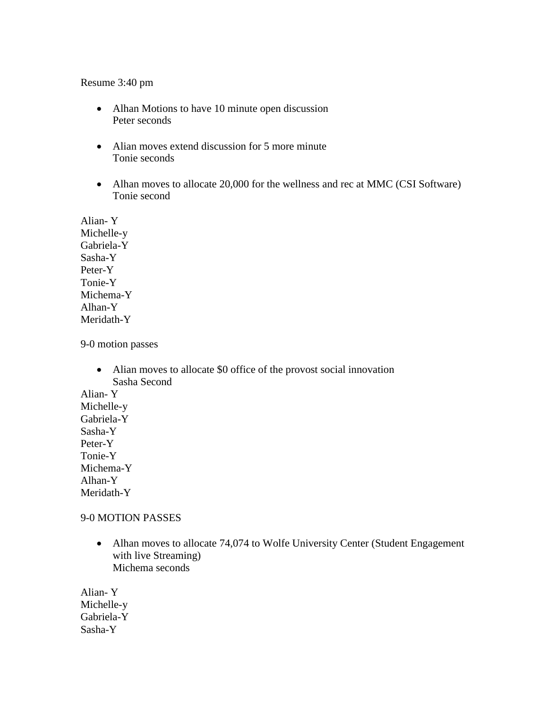#### Resume 3:40 pm

- Alhan Motions to have 10 minute open discussion Peter seconds
- Alian moves extend discussion for 5 more minute Tonie seconds
- Alhan moves to allocate 20,000 for the wellness and rec at MMC (CSI Software) Tonie second

Alian- Y Michelle-y Gabriela-Y Sasha-Y Peter-Y Tonie-Y Michema-Y Alhan-Y Meridath-Y

9-0 motion passes

• Alian moves to allocate \$0 office of the provost social innovation Sasha Second

Alian- Y Michelle-y Gabriela-Y Sasha-Y Peter-Y Tonie-Y Michema-Y Alhan-Y Meridath-Y

#### 9-0 MOTION PASSES

• Alhan moves to allocate 74,074 to Wolfe University Center (Student Engagement) with live Streaming) Michema seconds

Alian- Y Michelle-y Gabriela-Y Sasha-Y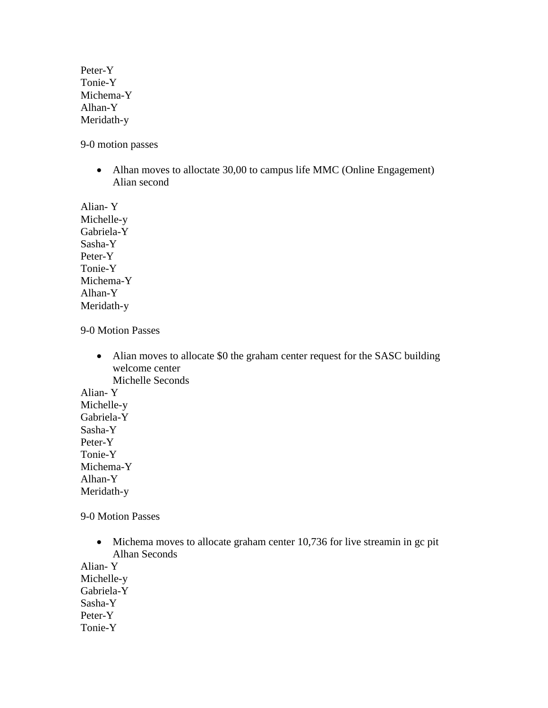Peter-Y Tonie-Y Michema-Y Alhan-Y Meridath-y

9-0 motion passes

• Alhan moves to alloctate 30,00 to campus life MMC (Online Engagement) Alian second

Alian- Y Michelle-y Gabriela-Y Sasha-Y Peter-Y Tonie-Y Michema-Y Alhan-Y Meridath-y

9-0 Motion Passes

• Alian moves to allocate \$0 the graham center request for the SASC building welcome center Michelle Seconds

Alian- Y Michelle-y Gabriela-Y Sasha-Y Peter-Y Tonie-Y Michema-Y Alhan-Y Meridath-y

9-0 Motion Passes

• Michema moves to allocate graham center 10,736 for live streamin in gc pit Alhan Seconds

Alian- Y Michelle-y Gabriela-Y Sasha-Y Peter-Y Tonie-Y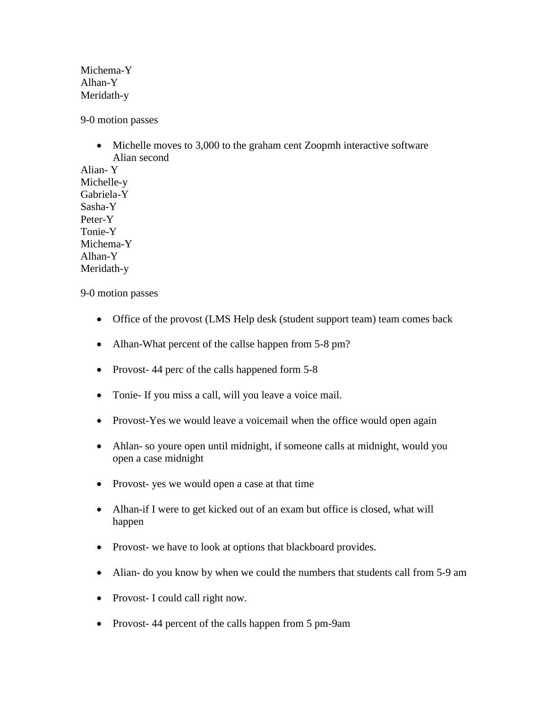Michema-Y Alhan-Y Meridath-y

9-0 motion passes

• Michelle moves to 3,000 to the graham cent Zoopmh interactive software Alian second

Alian- Y Michelle-y Gabriela-Y Sasha-Y Peter-Y Tonie-Y Michema-Y Alhan-Y Meridath-y

9-0 motion passes

- Office of the provost (LMS Help desk (student support team) team comes back
- Alhan-What percent of the callse happen from 5-8 pm?
- Provost-44 perc of the calls happened form 5-8
- Tonie- If you miss a call, will you leave a voice mail.
- Provost-Yes we would leave a voicemail when the office would open again
- Ahlan- so youre open until midnight, if someone calls at midnight, would you open a case midnight
- Provost- yes we would open a case at that time
- Alhan-if I were to get kicked out of an exam but office is closed, what will happen
- Provost- we have to look at options that blackboard provides.
- Alian- do you know by when we could the numbers that students call from 5-9 am
- Provost- I could call right now.
- Provost-44 percent of the calls happen from 5 pm-9am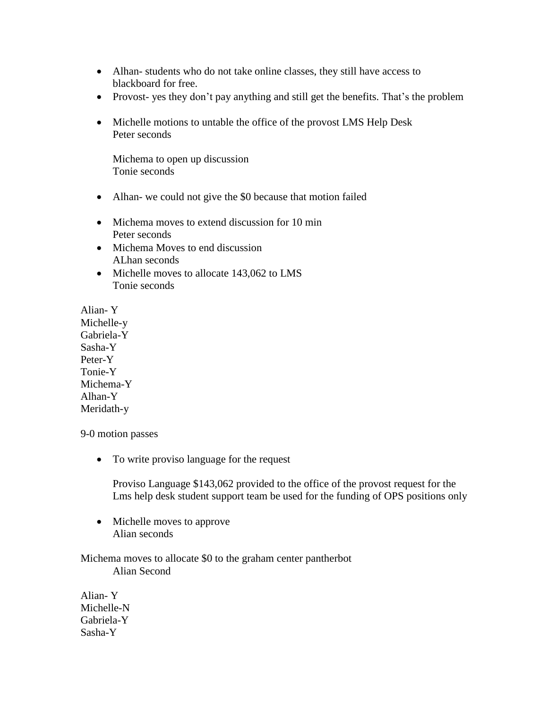- Alhan-students who do not take online classes, they still have access to blackboard for free.
- Provost- yes they don't pay anything and still get the benefits. That's the problem
- Michelle motions to untable the office of the provost LMS Help Desk Peter seconds

Michema to open up discussion Tonie seconds

- Alhan- we could not give the \$0 because that motion failed
- Michema moves to extend discussion for 10 min Peter seconds
- Michema Moves to end discussion ALhan seconds
- Michelle moves to allocate 143,062 to LMS Tonie seconds

Alian- Y Michelle-y Gabriela-Y Sasha-Y Peter-Y Tonie-Y Michema-Y Alhan-Y Meridath-y

9-0 motion passes

• To write proviso language for the request

Proviso Language \$143,062 provided to the office of the provost request for the Lms help desk student support team be used for the funding of OPS positions only

• Michelle moves to approve Alian seconds

Michema moves to allocate \$0 to the graham center pantherbot Alian Second

Alian- Y Michelle-N Gabriela-Y Sasha-Y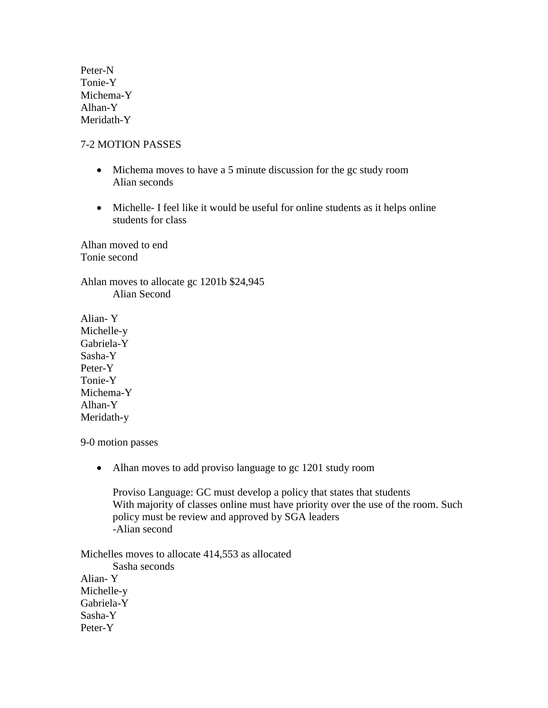Peter-N Tonie-Y Michema-Y Alhan-Y Meridath-Y

#### 7-2 MOTION PASSES

- Michema moves to have a 5 minute discussion for the gc study room Alian seconds
- Michelle- I feel like it would be useful for online students as it helps online students for class

Alhan moved to end Tonie second

Ahlan moves to allocate gc 1201b \$24,945 Alian Second

Alian- Y Michelle-y Gabriela-Y Sasha-Y Peter-Y Tonie-Y Michema-Y Alhan-Y Meridath-y

#### 9-0 motion passes

• Alhan moves to add proviso language to gc 1201 study room

Proviso Language: GC must develop a policy that states that students With majority of classes online must have priority over the use of the room. Such policy must be review and approved by SGA leaders -Alian second

Michelles moves to allocate 414,553 as allocated Sasha seconds Alian- Y Michelle-y Gabriela-Y Sasha-Y Peter-Y